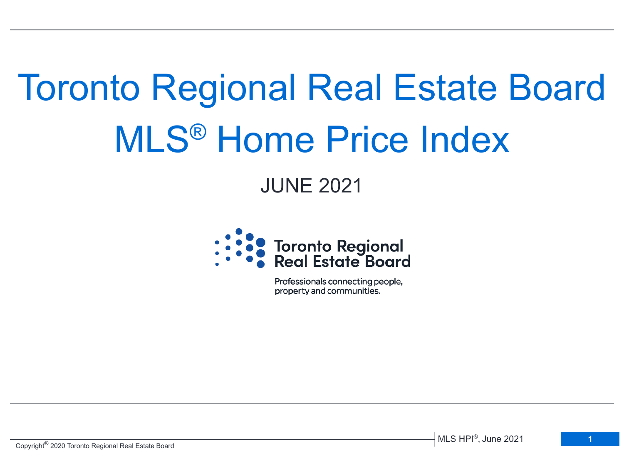# Toronto Regional Real Estate Board MLS® Home Price Index

# JUNE 2021



Professionals connecting people, property and communities.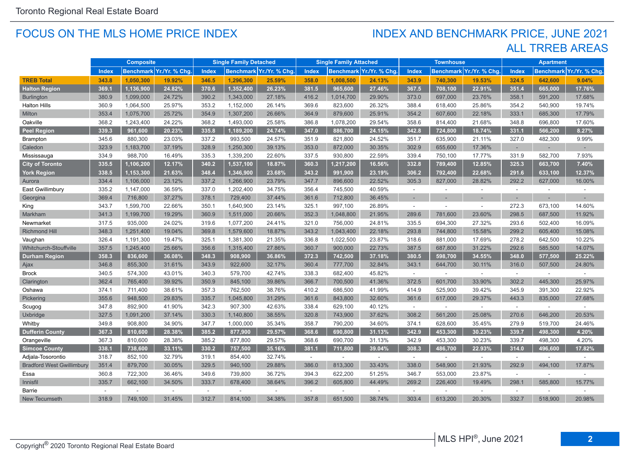#### FOCUS ON THE MLS HOME PRICE INDEX

## ALL TRREB AREAS INDEX AND BENCHMARK PRICE, JUNE 2021

|                                  | <b>Composite</b>                         |           |                                         | <b>Single Family Detached</b> |                                   |        | <b>Single Family Attached</b>           |           |        | <b>Townhouse</b>                        |         |        | <b>Apartment</b> |         |        |
|----------------------------------|------------------------------------------|-----------|-----------------------------------------|-------------------------------|-----------------------------------|--------|-----------------------------------------|-----------|--------|-----------------------------------------|---------|--------|------------------|---------|--------|
|                                  | Benchmark Yr./Yr. % Chg.<br><b>Index</b> |           | <b>Index</b><br>Benchmark Yr./Yr. % Chg |                               | Index<br>Benchmark Yr./Yr. % Chg. |        | <b>Index</b><br>Benchmark Yr./Yr. % Chg |           |        | Benchmark Yr./Yr. % Chg<br><b>Index</b> |         |        |                  |         |        |
| <b>TREB Total</b>                | 343.8                                    | 1,050,300 | 19.92%                                  | 346.5                         | 1,296,300                         | 25.59% | 358.0                                   | 1,008,500 | 24.13% | 343.9                                   | 740,300 | 19.53% | 324.5            | 642,600 | 9.04%  |
| <b>Halton Region</b>             | 369.1                                    | 1,136,900 | 24.82%                                  | 370.6                         | 1,352,400                         | 26.23% | 381.5                                   | 965,600   | 27.46% | 367.5                                   | 708,100 | 22.91% | 351.4            | 665,000 | 17.76% |
| <b>Burlington</b>                | 380.9                                    | 1,099,000 | 24.72%                                  | 390.2                         | 1,343,000                         | 27.18% | 416.2                                   | 1,014,700 | 29.90% | 373.0                                   | 697,000 | 23.76% | 358.1            | 591,200 | 17.68% |
| <b>Halton Hills</b>              | 360.9                                    | 1,064,500 | 25.97%                                  | 353.2                         | 1,152,000                         | 26.14% | 369.6                                   | 823,600   | 26.32% | 388.4                                   | 618,400 | 25.86% | 354.2            | 540,900 | 19.74% |
| Milton                           | 353.4                                    | 1,075,700 | 25.72%                                  | 354.9                         | 1,307,200                         | 26.66% | 364.9                                   | 879,600   | 25.91% | 354.2                                   | 607,600 | 22.18% | 333.1            | 685,300 | 17.79% |
| Oakville                         | 368.2                                    | 1,243,400 | 24.22%                                  | 368.2                         | 1,493,000                         | 25.58% | 386.8                                   | 1,078,200 | 29.54% | 358.6                                   | 814,400 | 21.68% | 348.8            | 696,800 | 17.60% |
| <b>Peel Region</b>               | 339.3                                    | 961,600   | 20.23%                                  | 335.8                         | 1,189,200                         | 24.74% | 347.0                                   | 886,700   | 24.15% | 342.8                                   | 724,800 | 18.74% | 331.1            | 566,200 | 8.27%  |
| <b>Brampton</b>                  | 345.6                                    | 880,300   | 23.03%                                  | 337.2                         | 993,500                           | 24.57% | 351.9                                   | 821,800   | 24.52% | 351.7                                   | 635,900 | 21.11% | 327.0            | 482,300 | 9.99%  |
| Caledon                          | 323.9                                    | 1,183,700 | 37.19%                                  | 328.9                         | 1,250,300                         | 39.13% | 353.0                                   | 872,000   | 30.35% | 302.9                                   | 655,600 | 17.36% | $\sim$           |         |        |
| Mississauga                      | 334.9                                    | 988,700   | 16.49%                                  | 335.3                         | 1,339,200                         | 22.60% | 337.5                                   | 930,800   | 22.59% | 339.4                                   | 750,100 | 17.77% | 331.9            | 582,700 | 7.93%  |
| <b>City of Toronto</b>           | 335.5                                    | 1,106,200 | 12.17%                                  | 340.2                         | 1,537,100                         | 18.87% | 360.3                                   | 1,217,200 | 16.56% | 332.8                                   | 789,400 | 12.85% | 325.3            | 663,700 | 7.40%  |
| <b>York Region</b>               | 338.5                                    | 1,153,300 | 21.63%                                  | 348.4                         | 1,346,900                         | 23.68% | 343.2                                   | 991,900   | 23.19% | 306.2                                   | 792,400 | 22.68% | 291.6            | 633,100 | 12.37% |
| Aurora                           | 334.4                                    | 1,106,000 | 23.12%                                  | 337.2                         | 1,266,900                         | 23.79% | 347.7                                   | 896,600   | 22.52% | 305.3                                   | 827,000 | 28.82% | 292.2            | 627,000 | 16.00% |
| East Gwillimbury                 | 335.2                                    | 1,147,000 | 36.59%                                  | 337.0                         | 1,202,400                         | 34.75% | 356.4                                   | 745,500   | 40.59% | $\sim$                                  | $\sim$  | $\sim$ | $\mathcal{L}$    | $\sim$  | ÷.     |
| Georgina                         | 369.4                                    | 716,800   | 37.27%                                  | 378.1                         | 729,400                           | 37.44% | 361.6                                   | 712,800   | 36.45% |                                         |         |        |                  |         |        |
| King                             | 343.7                                    | 1,599,700 | 22.66%                                  | 350.1                         | 1,640,900                         | 23.14% | 325.1                                   | 997,100   | 26.89% | $\sim$                                  | ÷.      | $\sim$ | 272.3            | 673,100 | 14.60% |
| Markham                          | 341.3                                    | 1,199,700 | 19.29%                                  | 360.9                         | 1,511,000                         | 20.66% | 352.3                                   | 1,048,800 | 21.95% | 289.6                                   | 781,600 | 23.60% | 298.5            | 687,500 | 11.92% |
| Newmarket                        | 317.5                                    | 935,000   | 24.02%                                  | 319.6                         | 1,077,200                         | 24.41% | 321.0                                   | 756,000   | 24.81% | 335.5                                   | 694,300 | 27.32% | 293.6            | 502,400 | 16.09% |
| <b>Richmond Hill</b>             | 348.3                                    | 1.251.400 | 19.04%                                  | 369.8                         | 1,579,600                         | 18.87% | 343.2                                   | 1,043,400 | 22.18% | 293.8                                   | 744,800 | 15.58% | 299.2            | 605,400 | 15.08% |
| Vaughan                          | 326.4                                    | 1,191,300 | 19.47%                                  | 325.1                         | 1,381,300                         | 21.35% | 336.8                                   | 1,022,500 | 23.87% | 318.6                                   | 881,000 | 17.69% | 278.2            | 642,500 | 10.22% |
| Whitchurch-Stouffville           | 357.5                                    | 1,245,400 | 25.66%                                  | 356.6                         | 1,315,400                         | 27.86% | 360.7                                   | 900,000   | 22.73% | 387.5                                   | 687,800 | 31.22% | 292.6            | 585,500 | 14.07% |
| <b>Durham Region</b>             | 358.3                                    | 836,600   | 36.08%                                  | 348.3                         | 908,900                           | 36.86% | 372.3                                   | 742,500   | 37.18% | 380.5                                   | 598,700 | 34.55% | 348.0            | 577,500 | 25.22% |
| Ajax                             | 346.8                                    | 855,300   | 31.61%                                  | 343.9                         | 922,600                           | 32.17% | 360.4                                   | 777,700   | 32.84% | 343.1                                   | 644,700 | 30.11% | 316.0            | 507,500 | 24.80% |
| <b>Brock</b>                     | 340.5                                    | 574,300   | 43.01%                                  | 340.3                         | 579,700                           | 42.74% | 338.3                                   | 682,400   | 45.82% | $\sim$                                  | $\sim$  | $\sim$ | $\sim$           | $\sim$  | $\sim$ |
| Clarington                       | 362.4                                    | 765,400   | 39.92%                                  | 350.9                         | 845,100                           | 39.86% | 366.7                                   | 700,500   | 41.36% | 372.5                                   | 601,700 | 33.90% | 302.2            | 445,300 | 25.97% |
| Oshawa                           | 374.1                                    | 711,400   | 38.61%                                  | 357.3                         | 762,500                           | 38.76% | 410.2                                   | 686,500   | 41.99% | 414.9                                   | 525,900 | 39.42% | 345.9            | 391,300 | 22.92% |
| Pickering                        | 355.6                                    | 948,500   | 29.83%                                  | 335.7                         | 1,045,800                         | 31.29% | 361.6                                   | 843,800   | 32.60% | 361.6                                   | 617,000 | 29.37% | 443.3            | 835,000 | 27.68% |
| Scugog                           | 347.8                                    | 892,900   | 41.90%                                  | 342.3                         | 907,300                           | 42.63% | 338.4                                   | 629,100   | 40.12% | $\sim$                                  | ÷.      | $\sim$ | $\sim$           |         |        |
| Uxbridge                         | 327.5                                    | 1,091,200 | 37.14%                                  | 330.3                         | 1,140,800                         | 38.55% | 320.8                                   | 743,900   | 37.62% | 308.2                                   | 561,200 | 25.08% | 270.6            | 646,200 | 20.53% |
| Whitby                           | 349.8                                    | 908,800   | 34.90%                                  | 347.7                         | 1,000,000                         | 35.34% | 358.7                                   | 790,200   | 34.60% | 374.1                                   | 628,600 | 35.45% | 279.9            | 519,700 | 24.46% |
| <b>Dufferin County</b>           | 367.3                                    | 810,600   | 28.38%                                  | 385.2                         | 877,900                           | 29.57% | 368.6                                   | 690,800   | 31.13% | 342.9                                   | 453,300 | 30.23% | 339.7            | 498,300 | 4.20%  |
| Orangeville                      | 367.3                                    | 810,600   | 28.38%                                  | 385.2                         | 877,800                           | 29.57% | 368.6                                   | 690,700   | 31.13% | 342.9                                   | 453,300 | 30.23% | 339.7            | 498,300 | 4.20%  |
| <b>Simcoe County</b>             | 338.1                                    | 738,600   | 33.11%                                  | 330.2                         | 757,500                           | 35.16% | 381.1                                   | 711,800   | 39.04% | 308.3                                   | 486,700 | 22.93% | 314.0            | 496,600 | 17.82% |
| Adjala-Tosorontio                | 318.7                                    | 852,100   | 32.79%                                  | 319.1                         | 854,400                           | 32.74% | $\sim$                                  | $\omega$  | $\sim$ | $\sim$                                  | $\sim$  | $\sim$ | $\sim$           |         |        |
| <b>Bradford West Gwillimbury</b> | 351.4                                    | 879,700   | 30.05%                                  | 329.5                         | 940,100                           | 29.88% | 386.0                                   | 813,300   | 33.43% | 338.0                                   | 548,900 | 21.93% | 292.9            | 494,100 | 17.87% |
| Essa                             | 360.8                                    | 722,300   | 36.46%                                  | 349.6                         | 739,800                           | 36.72% | 394.3                                   | 622,200   | 51.25% | 346.7                                   | 553,000 | 23.87% | $\sim$           |         |        |
| Innisfil                         | 335.7                                    | 662,100   | 34.50%                                  | 333.7                         | 678,400                           | 38.64% | 396.2                                   | 605,800   | 44.49% | 269.2                                   | 226,400 | 19.49% | 298.1            | 585,800 | 15.77% |
| Barrie                           | $\sim$                                   | $\sim$    | ÷.                                      | $\sim$                        | $\sim$                            | $\sim$ | $\sim$                                  | ÷.        | $\sim$ | $\sim$                                  | $\sim$  | $\sim$ | $\sim$           |         |        |
| <b>New Tecumseth</b>             | 318.9                                    | 749,100   | 31.45%                                  | 312.7                         | 814,100                           | 34.38% | 357.8                                   | 651,500   | 38.74% | 303.4                                   | 613,200 | 20.30% | 332.7            | 518,900 | 20.98% |